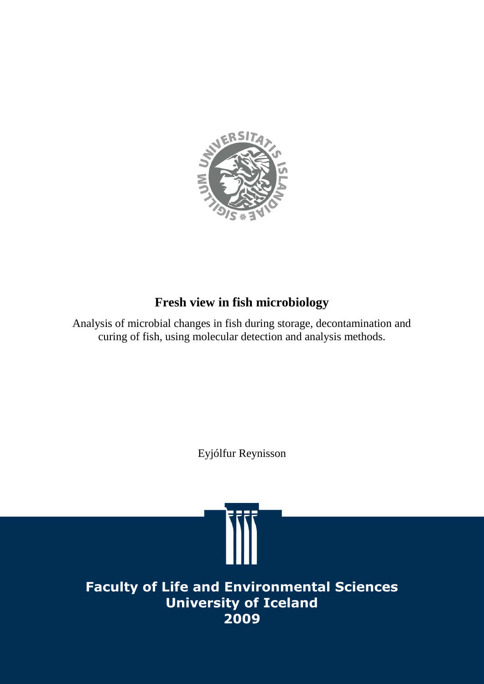

# **Fresh view in fish microbiology**

Analysis of microbial changes in fish during storage, decontamination and curing of fish, using molecular detection and analysis methods.

Eyjólfur Reynisson

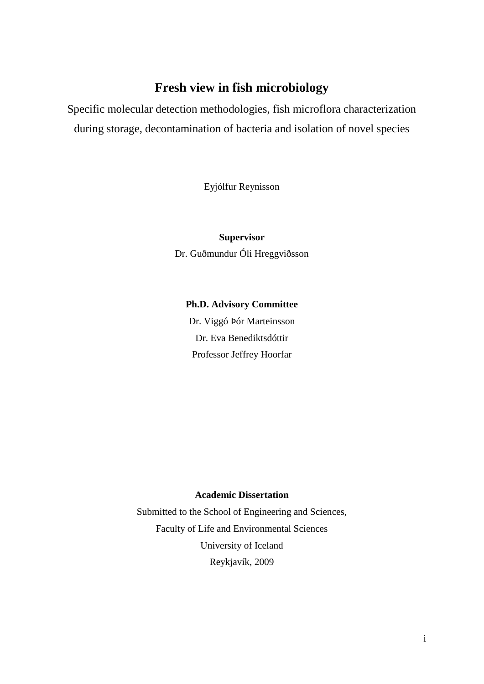## **Fresh view in fish microbiology**

Specific molecular detection methodologies, fish microflora characterization during storage, decontamination of bacteria and isolation of novel species

Eyjólfur Reynisson

**Supervisor** Dr. Guðmundur Óli Hreggviðsson

**Ph.D. Advisory Committee** Dr. Viggó Þór Marteinsson Dr. Eva Benediktsdóttir Professor Jeffrey Hoorfar

#### **Academic Dissertation**

Submitted to the School of Engineering and Sciences, Faculty of Life and Environmental Sciences University of Iceland Reykjavík, 2009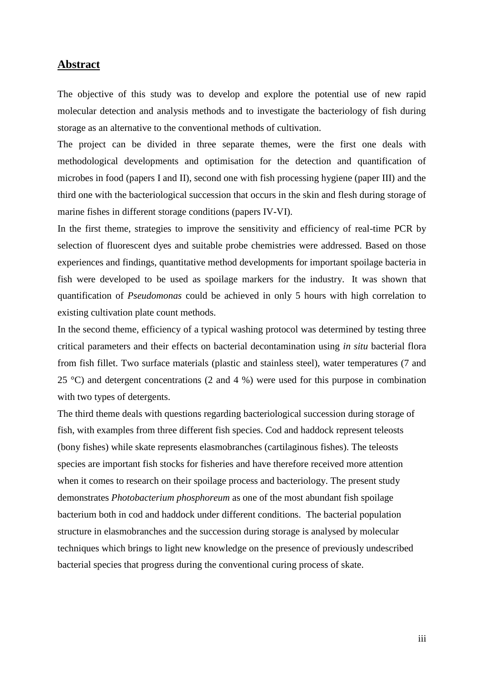#### <span id="page-2-0"></span>**Abstract**

The objective of this study was to develop and explore the potential use of new rapid molecular detection and analysis methods and to investigate the bacteriology of fish during storage as an alternative to the conventional methods of cultivation.

The project can be divided in three separate themes, were the first one deals with methodological developments and optimisation for the detection and quantification of microbes in food (papers I and II), second one with fish processing hygiene (paper III) and the third one with the bacteriological succession that occurs in the skin and flesh during storage of marine fishes in different storage conditions (papers IV-VI).

In the first theme, strategies to improve the sensitivity and efficiency of real-time PCR by selection of fluorescent dyes and suitable probe chemistries were addressed. Based on those experiences and findings, quantitative method developments for important spoilage bacteria in fish were developed to be used as spoilage markers for the industry. It was shown that quantification of *Pseudomonas* could be achieved in only 5 hours with high correlation to existing cultivation plate count methods.

In the second theme, efficiency of a typical washing protocol was determined by testing three critical parameters and their effects on bacterial decontamination using *in situ* bacterial flora from fish fillet. Two surface materials (plastic and stainless steel), water temperatures (7 and 25 °C) and detergent concentrations (2 and 4 %) were used for this purpose in combination with two types of detergents.

<span id="page-2-1"></span>The third theme deals with questions regarding bacteriological succession during storage of fish, with examples from three different fish species. Cod and haddock represent teleosts (bony fishes) while skate represents elasmobranches (cartilaginous fishes). The teleosts species are important fish stocks for fisheries and have therefore received more attention when it comes to research on their spoilage process and bacteriology. The present study demonstrates *Photobacterium phosphoreum* as one of the most abundant fish spoilage bacterium both in cod and haddock under different conditions. The bacterial population structure in elasmobranches and the succession during storage is analysed by molecular techniques which brings to light new knowledge on the presence of previously undescribed bacterial species that progress during the conventional curing process of skate.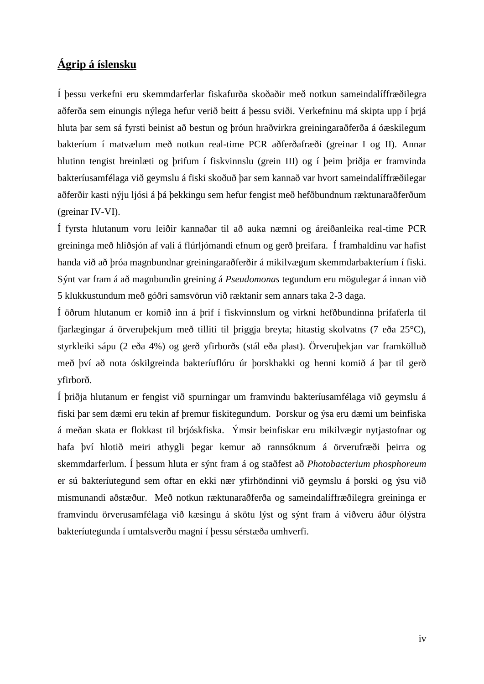## **Ágrip á íslensku**

Í þessu verkefni eru skemmdarferlar fiskafurða skoðaðir með notkun sameindalíffræðilegra aðferða sem einungis nýlega hefur verið beitt á þessu sviði. Verkefninu má skipta upp í þrjá hluta þar sem sá fyrsti beinist að bestun og þróun hraðvirkra greiningaraðferða á óæskilegum bakteríum í matvælum með notkun real-time PCR aðferðafræði (greinar I og II). Annar hlutinn tengist hreinlæti og þrifum í fiskvinnslu (grein III) og í þeim þriðja er framvinda bakteríusamfélaga við geymslu á fiski skoðuð þar sem kannað var hvort sameindalíffræðilegar aðferðir kasti nýju ljósi á þá þekkingu sem hefur fengist með hefðbundnum ræktunaraðferðum (greinar IV-VI).

Í fyrsta hlutanum voru leiðir kannaðar til að auka næmni og áreiðanleika real-time PCR greininga með hliðsjón af vali á flúrljómandi efnum og gerð þreifara. Í framhaldinu var hafist handa við að þróa magnbundnar greiningaraðferðir á mikilvægum skemmdarbakteríum í fiski. Sýnt var fram á að magnbundin greining á *Pseudomonas* tegundum eru mögulegar á innan við 5 klukkustundum með góðri samsvörun við ræktanir sem annars taka 2-3 daga.

Í öðrum hlutanum er komið inn á þrif í fiskvinnslum og virkni hefðbundinna þrifaferla til fjarlægingar á örveruþekjum með tilliti til þriggja breyta; hitastig skolvatns (7 eða 25°C), styrkleiki sápu (2 eða 4%) og gerð yfirborðs (stál eða plast). Örveruþekjan var framkölluð með því að nota óskilgreinda bakteríuflóru úr þorskhakki og henni komið á þar til gerð yfirborð.

Í þriðja hlutanum er fengist við spurningar um framvindu bakteríusamfélaga við geymslu á fiski þar sem dæmi eru tekin af þremur fiskitegundum. Þorskur og ýsa eru dæmi um beinfiska á meðan skata er flokkast til brjóskfiska. Ýmsir beinfiskar eru mikilvægir nytjastofnar og hafa því hlotið meiri athygli þegar kemur að rannsóknum á örverufræði þeirra og skemmdarferlum. Í þessum hluta er sýnt fram á og staðfest að *Photobacterium phosphoreum* er sú bakteríutegund sem oftar en ekki nær yfirhöndinni við geymslu á þorski og ýsu við mismunandi aðstæður. Með notkun ræktunaraðferða og sameindalíffræðilegra greininga er framvindu örverusamfélaga við kæsingu á skötu lýst og sýnt fram á viðveru áður ólýstra bakteríutegunda í umtalsverðu magni í þessu sérstæða umhverfi.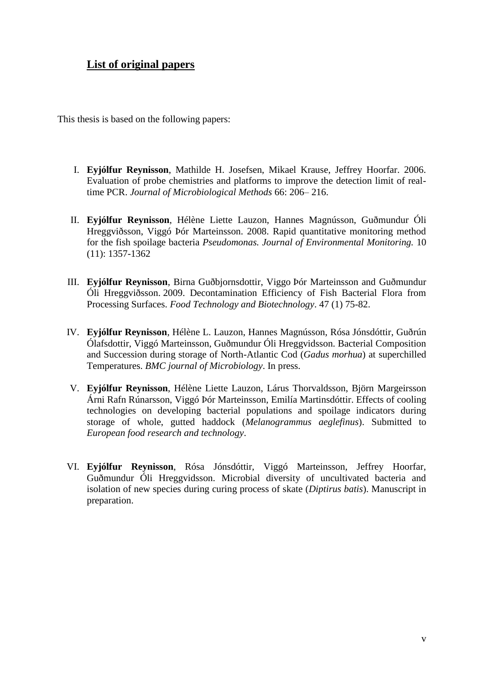### <span id="page-4-0"></span>**List of original papers**

This thesis is based on the following papers:

- I. **Eyjólfur Reynisson**, Mathilde H. Josefsen, Mikael Krause, Jeffrey Hoorfar. 2006. Evaluation of probe chemistries and platforms to improve the detection limit of realtime PCR. *Journal of Microbiological Methods* 66: 206– 216.
- II. **Eyjólfur Reynisson**, Hélène Liette Lauzon, Hannes Magnússon, Guðmundur Óli Hreggviðsson, Viggó Þór Marteinsson. 2008. Rapid quantitative monitoring method for the fish spoilage bacteria *Pseudomonas. Journal of Environmental Monitoring.* 10 (11): 1357-1362
- III. **Eyjólfur Reynisson**, Birna Guðbjornsdottir, Viggo Þór Marteinsson and Guðmundur Óli Hreggviðsson. 2009. Decontamination Efficiency of Fish Bacterial Flora from Processing Surfaces. *Food Technology and Biotechnology*. 47 (1) 75-82.
- IV. **Eyjólfur Reynisson**, Hélène L. Lauzon, Hannes Magnússon, Rósa Jónsdóttir, Guðrún Ólafsdottir, Viggó Marteinsson, Guðmundur Óli Hreggvidsson. Bacterial Composition and Succession during storage of North-Atlantic Cod (*Gadus morhua*) at superchilled Temperatures. *BMC journal of Microbiology*. In press.
- V. **Eyjólfur Reynisson**, Hélène Liette Lauzon, Lárus Thorvaldsson, Björn Margeirsson Árni Rafn Rúnarsson, Viggó Þór Marteinsson, Emilía Martinsdóttir. Effects of cooling technologies on developing bacterial populations and spoilage indicators during storage of whole, gutted haddock (*Melanogrammus aeglefinus*). Submitted to *European food research and technology*.
- VI. **Eyjólfur Reynisson**, Rósa Jónsdóttir, Viggó Marteinsson, Jeffrey Hoorfar, Guðmundur Óli Hreggvidsson. Microbial diversity of uncultivated bacteria and isolation of new species during curing process of skate (*Diptirus batis*). Manuscript in preparation.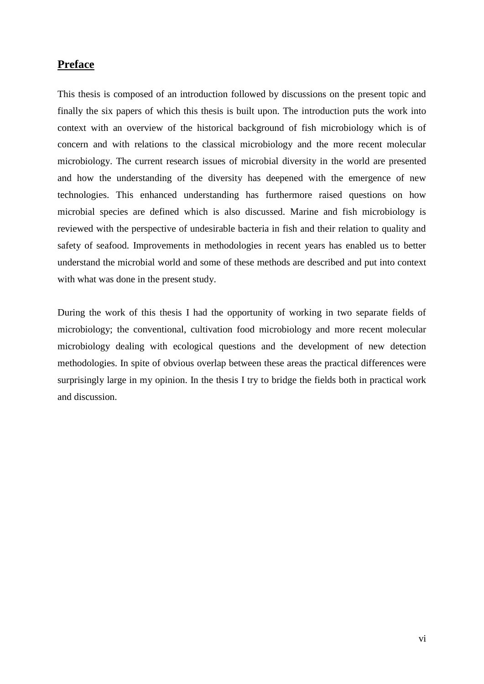### <span id="page-5-0"></span>**Preface**

This thesis is composed of an introduction followed by discussions on the present topic and finally the six papers of which this thesis is built upon. The introduction puts the work into context with an overview of the historical background of fish microbiology which is of concern and with relations to the classical microbiology and the more recent molecular microbiology. The current research issues of microbial diversity in the world are presented and how the understanding of the diversity has deepened with the emergence of new technologies. This enhanced understanding has furthermore raised questions on how microbial species are defined which is also discussed. Marine and fish microbiology is reviewed with the perspective of undesirable bacteria in fish and their relation to quality and safety of seafood. Improvements in methodologies in recent years has enabled us to better understand the microbial world and some of these methods are described and put into context with what was done in the present study.

During the work of this thesis I had the opportunity of working in two separate fields of microbiology; the conventional, cultivation food microbiology and more recent molecular microbiology dealing with ecological questions and the development of new detection methodologies. In spite of obvious overlap between these areas the practical differences were surprisingly large in my opinion. In the thesis I try to bridge the fields both in practical work and discussion.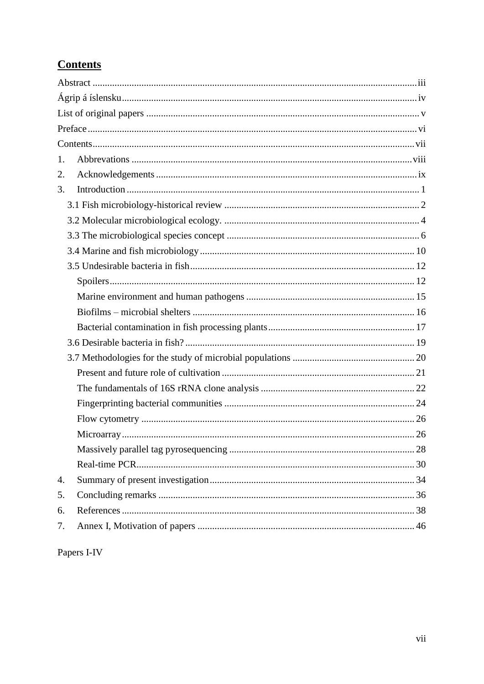# <span id="page-6-0"></span>**Contents**

| 1. |  |  |
|----|--|--|
| 2. |  |  |
| 3. |  |  |
|    |  |  |
|    |  |  |
|    |  |  |
|    |  |  |
|    |  |  |
|    |  |  |
|    |  |  |
|    |  |  |
|    |  |  |
|    |  |  |
|    |  |  |
|    |  |  |
|    |  |  |
|    |  |  |
|    |  |  |
|    |  |  |
|    |  |  |
|    |  |  |
| 4. |  |  |
| 5. |  |  |
| 6. |  |  |
| 7. |  |  |
|    |  |  |

Papers I-IV